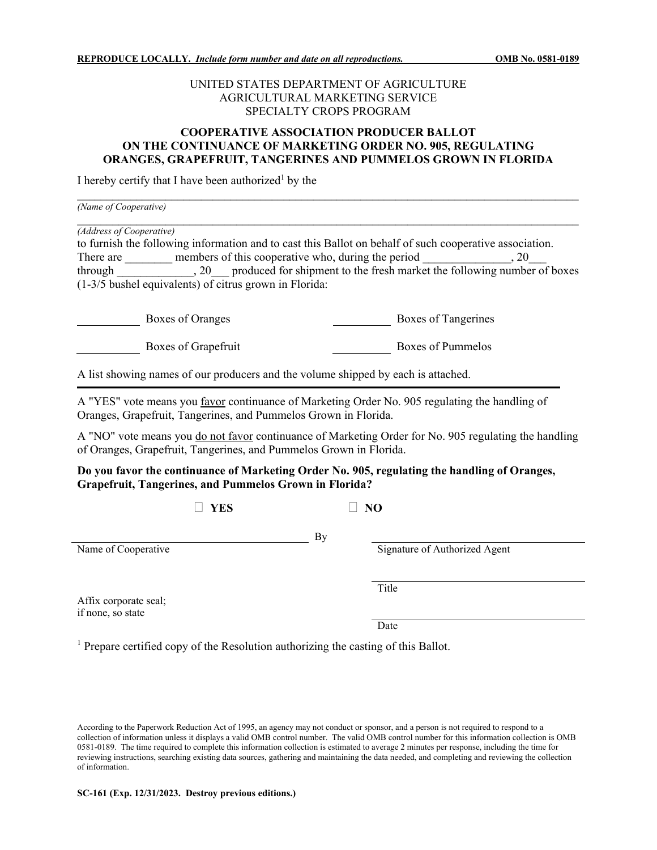## UNITED STATES DEPARTMENT OF AGRICULTURE AGRICULTURAL MARKETING SERVICE SPECIALTY CROPS PROGRAM

## **COOPERATIVE ASSOCIATION PRODUCER BALLOT ON THE CONTINUANCE OF MARKETING ORDER NO. 905, REGULATING ORANGES, GRAPEFRUIT, TANGERINES AND PUMMELOS GROWN IN FLORIDA**

I hereby certify that I have been authorized<sup>1</sup> by the

| (Name of Cooperative)<br>(Address of Cooperative)<br>to furnish the following information and to cast this Ballot on behalf of such cooperative association.<br>members of this cooperative who, during the period<br>There are<br>. 20<br>through , 20 produced for shipment to the fresh market the following number of boxes<br>(1-3/5 bushel equivalents) of citrus grown in Florida: |                   |
|-------------------------------------------------------------------------------------------------------------------------------------------------------------------------------------------------------------------------------------------------------------------------------------------------------------------------------------------------------------------------------------------|-------------------|
|                                                                                                                                                                                                                                                                                                                                                                                           |                   |
| Boxes of Grapefruit                                                                                                                                                                                                                                                                                                                                                                       | Boxes of Pummelos |
| A list showing names of our producers and the volume shipped by each is attached.                                                                                                                                                                                                                                                                                                         |                   |

A "YES" vote means you favor continuance of Marketing Order No. 905 regulating the handling of Oranges, Grapefruit, Tangerines, and Pummelos Grown in Florida.

A "NO" vote means you do not favor continuance of Marketing Order for No. 905 regulating the handling of Oranges, Grapefruit, Tangerines, and Pummelos Grown in Florida.

## **Do you favor the continuance of Marketing Order No. 905, regulating the handling of Oranges, Grapefruit, Tangerines, and Pummelos Grown in Florida?**

By

 $\Box$  YES  $\Box$  NO

Name of Cooperative Signature of Authorized Agent

**Title** 

Affix corporate seal; if none, so state

Date

<sup>1</sup> Prepare certified copy of the Resolution authorizing the casting of this Ballot.

According to the Paperwork Reduction Act of 1995, an agency may not conduct or sponsor, and a person is not required to respond to a collection of information unless it displays a valid OMB control number. The valid OMB control number for this information collection is OMB 0581-0189. The time required to complete this information collection is estimated to average 2 minutes per response, including the time for reviewing instructions, searching existing data sources, gathering and maintaining the data needed, and completing and reviewing the collection of information.